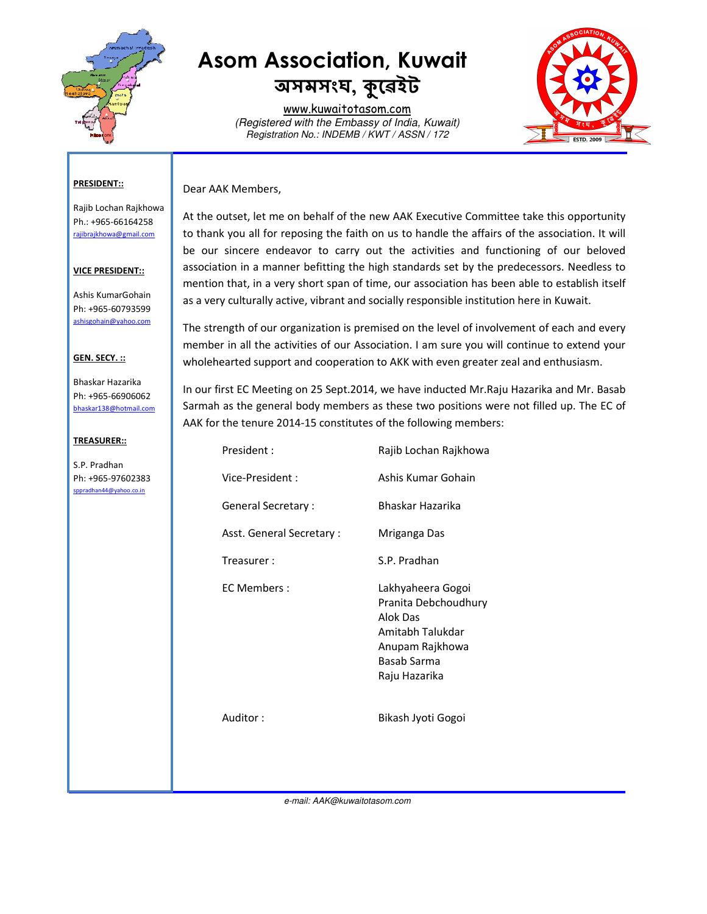

# **Asom Association, Kuwait**

অসমসংঘ, কুৱেইট

www.kuwaitotasom.com *(Registered with the Embassy of India, Kuwait) Registration No.: INDEMB / KWT / ASSN / 172* 



### **PRESIDENT::**

Rajib Lochan Rajkhowa Ph.: +965-66164258 rajibrajkhowa@gmail.com

Dear AAK Members,

# **VICE PRESIDENT::**

Ashis KumarGohain Ph: +965-60793599 ashisgohain@yahoo.com

# **GEN. SECY. ::**

Bhaskar Hazarika Ph: +965-66906062 bhaskar138@hotmail.com

### **TREASURER::**

S.P. Pradhan Ph: +965-97602383 sppradhan44@yahoo.co.in

At the outset, let me on behalf of the new AAK Executive Committee take this opportunity to thank you all for reposing the faith on us to handle the affairs of the association. It will be our sincere endeavor to carry out the activities and functioning of our beloved association in a manner befitting the high standards set by the predecessors. Needless to mention that, in a very short span of time, our association has been able to establish itself as a very culturally active, vibrant and socially responsible institution here in Kuwait.

The strength of our organization is premised on the level of involvement of each and every member in all the activities of our Association. I am sure you will continue to extend your wholehearted support and cooperation to AKK with even greater zeal and enthusiasm.

In our first EC Meeting on 25 Sept.2014, we have inducted Mr.Raju Hazarika and Mr. Basab Sarmah as the general body members as these two positions were not filled up. The EC of AAK for the tenure 2014-15 constitutes of the following members:

| President:                | Rajib Lochan Rajkhowa                                                                                                        |
|---------------------------|------------------------------------------------------------------------------------------------------------------------------|
| Vice-President:           | Ashis Kumar Gohain                                                                                                           |
| <b>General Secretary:</b> | Bhaskar Hazarika                                                                                                             |
| Asst. General Secretary:  | Mriganga Das                                                                                                                 |
| Treasurer :               | S.P. Pradhan                                                                                                                 |
| EC Members:               | Lakhyaheera Gogoi<br>Pranita Debchoudhury<br>Alok Das<br>Amitabh Talukdar<br>Anupam Rajkhowa<br>Basab Sarma<br>Raju Hazarika |
| Auditor :                 | Bikash Jyoti Gogoi                                                                                                           |